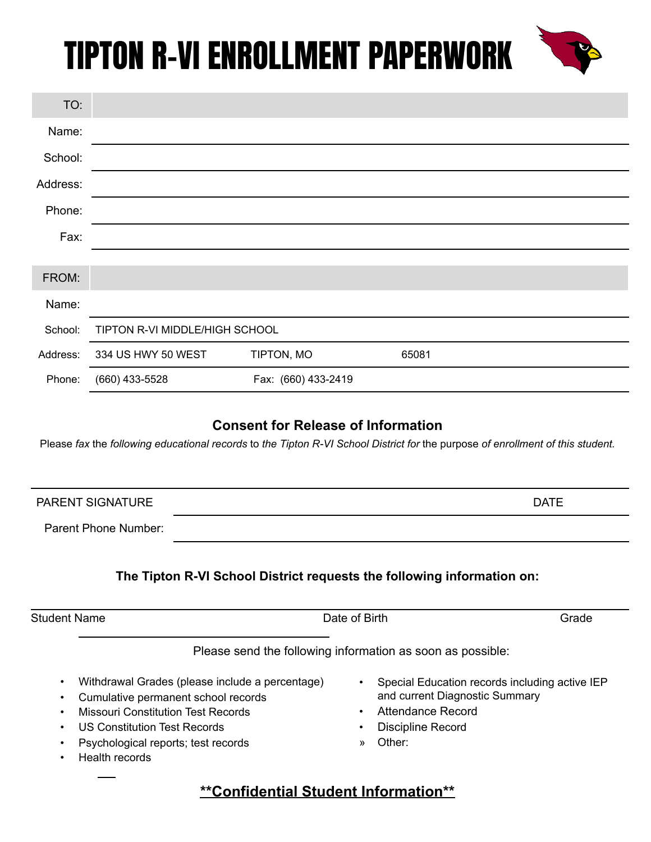

#### **Consent for Release of Information**

Please fax the following educational records to the Tipton R-VI School District for the purpose of enrollment of this student.

| <b>PARENT SIGNATURE</b> |                                                                        | <b>DATE</b> |
|-------------------------|------------------------------------------------------------------------|-------------|
| Parent Phone Number:    |                                                                        |             |
|                         | The Tipton R-VI School District requests the following information on: |             |
| <b>Student Name</b>     | Date of Birth                                                          | Grade       |

Please send the following information as soon as possible:

- Withdrawal Grades (please include a percentage)
- Cumulative permanent school records
- Missouri Constitution Test Records
- US Constitution Test Records
- Psychological reports; test records
- Health records
- Special Education records including active IEP and current Diagnostic Summary
- Attendance Record
- Discipline Record
- » Other:

#### **\*\*Confidential Student Information\*\***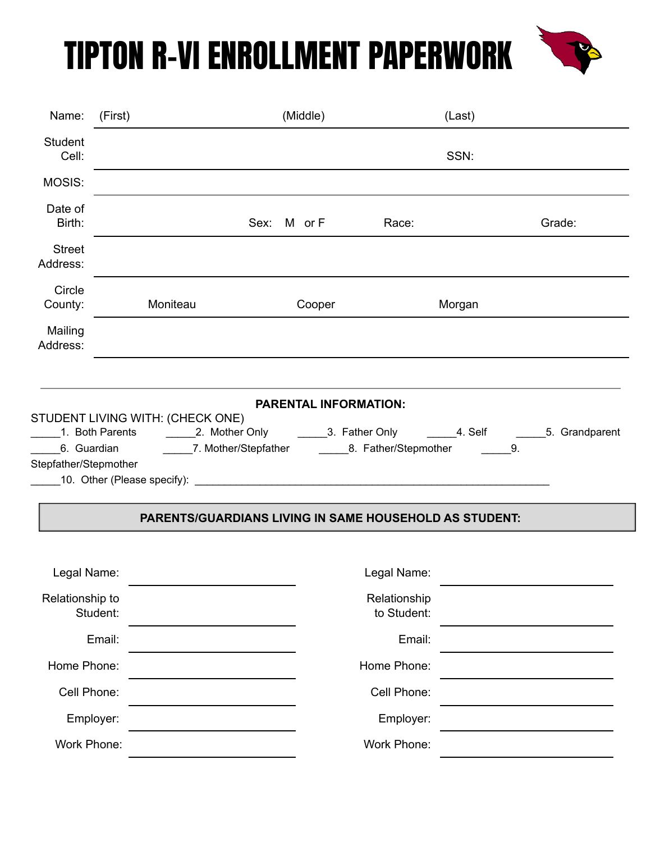

| Name:                     | (First)  |                                                             | (Middle)    |                             | (Last) |        |
|---------------------------|----------|-------------------------------------------------------------|-------------|-----------------------------|--------|--------|
| <b>Student</b><br>Cell:   |          |                                                             |             |                             | SSN:   |        |
| MOSIS:                    |          |                                                             |             |                             |        |        |
| Date of<br>Birth:         |          |                                                             | Sex: M or F | Race:                       |        | Grade: |
| <b>Street</b><br>Address: |          |                                                             |             |                             |        |        |
| Circle<br>County:         |          | Moniteau                                                    | Cooper      |                             | Morgan |        |
| Mailing<br>Address:       |          |                                                             |             |                             |        |        |
| Stepfather/Stepmother     |          | 6. Guardian  7. Mother/Stepfather  8. Father/Stepmother  9. |             |                             |        |        |
|                           |          | PARENTS/GUARDIANS LIVING IN SAME HOUSEHOLD AS STUDENT:      |             |                             |        |        |
| Legal Name:               |          |                                                             |             | Legal Name:                 |        |        |
| Relationship to           | Student: |                                                             |             | Relationship<br>to Student: |        |        |
|                           | Email:   |                                                             |             | Email:                      |        |        |
| Home Phone:               |          |                                                             |             | Home Phone:                 |        |        |
| Cell Phone:               |          |                                                             |             | Cell Phone:                 |        |        |
| Employer:                 |          |                                                             |             | Employer:                   |        |        |
| Work Phone:               |          |                                                             |             | Work Phone:                 |        |        |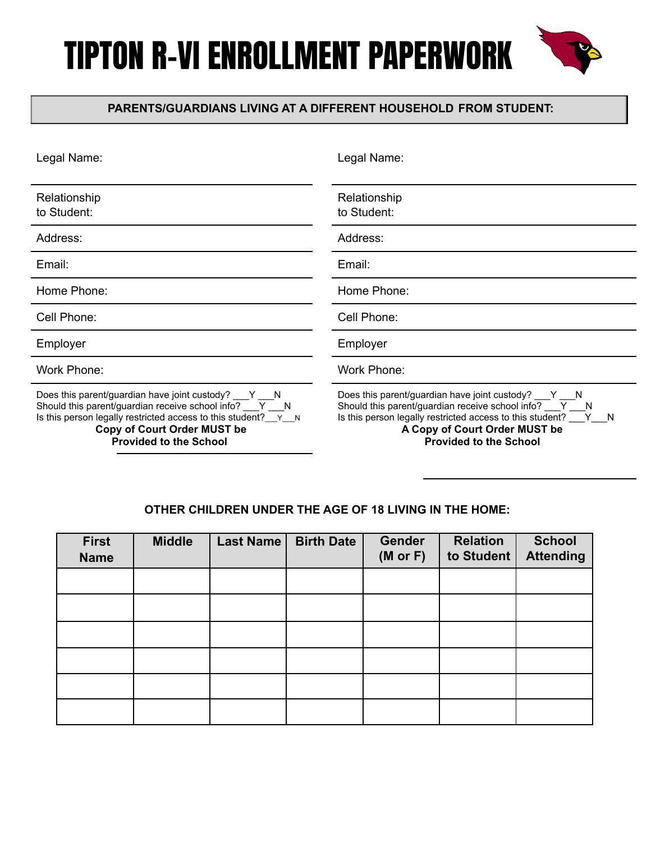

#### **PARENTS/GUARDIANS LIVING AT A DIFFERENT HOUSEHOLD FROM STUDENT:**

| Legal Name:                                                                                                                                                                                                                                                         | Legal Name:                                                                                                                                                                                                                                                        |
|---------------------------------------------------------------------------------------------------------------------------------------------------------------------------------------------------------------------------------------------------------------------|--------------------------------------------------------------------------------------------------------------------------------------------------------------------------------------------------------------------------------------------------------------------|
| Relationship<br>to Student:                                                                                                                                                                                                                                         | Relationship<br>to Student:                                                                                                                                                                                                                                        |
| Address:                                                                                                                                                                                                                                                            | Address:                                                                                                                                                                                                                                                           |
| Email:                                                                                                                                                                                                                                                              | Email:                                                                                                                                                                                                                                                             |
| Home Phone:                                                                                                                                                                                                                                                         | Home Phone:                                                                                                                                                                                                                                                        |
| Cell Phone:                                                                                                                                                                                                                                                         | Cell Phone:                                                                                                                                                                                                                                                        |
| Employer                                                                                                                                                                                                                                                            | Employer                                                                                                                                                                                                                                                           |
| <b>Work Phone:</b>                                                                                                                                                                                                                                                  | <b>Work Phone:</b>                                                                                                                                                                                                                                                 |
| Does this parent/guardian have joint custody? V __ Y<br>Should this parent/guardian receive school info? ___ Y ___ N<br>Is this person legally restricted access to this student? $y \sim N$<br><b>Copy of Court Order MUST be</b><br><b>Provided to the School</b> | Does this parent/guardian have joint custody? ___ Y ___ N<br>Should this parent/guardian receive school info? ___ Y ___ N<br>Is this person legally restricted access to this student? ___ Y___N<br>A Copy of Court Order MUST be<br><b>Provided to the School</b> |

#### **OTHER CHILDREN UNDER THE AGE OF 18 LIVING IN THE HOME:**

| <b>First</b><br><b>Name</b> | <b>Middle</b> | Last Name | <b>Birth Date</b> | <b>Gender</b><br>$(M$ or $F)$ | <b>Relation</b><br>to Student | <b>School</b><br><b>Attending</b> |
|-----------------------------|---------------|-----------|-------------------|-------------------------------|-------------------------------|-----------------------------------|
|                             |               |           |                   |                               |                               |                                   |
|                             |               |           |                   |                               |                               |                                   |
|                             |               |           |                   |                               |                               |                                   |
|                             |               |           |                   |                               |                               |                                   |
|                             |               |           |                   |                               |                               |                                   |
|                             |               |           |                   |                               |                               |                                   |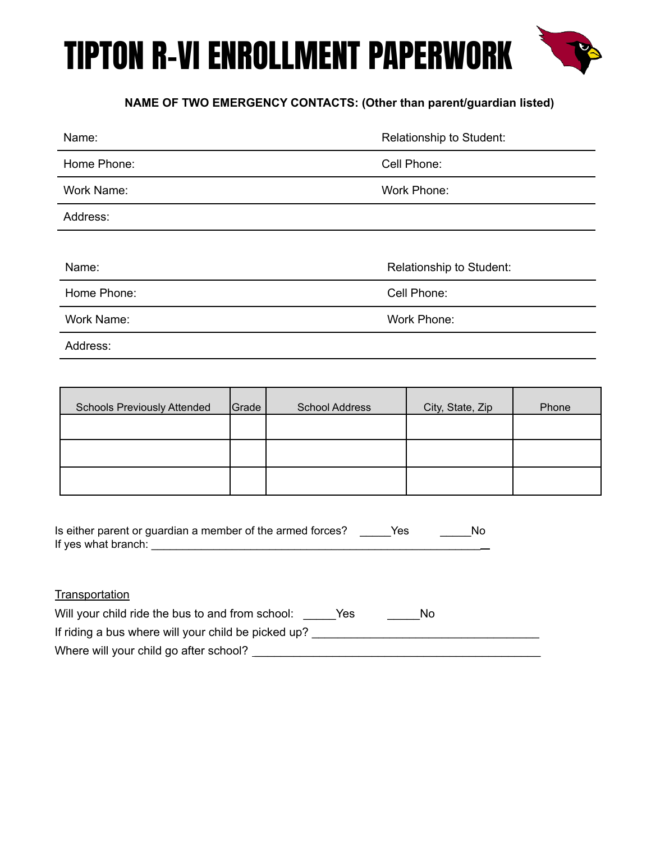

#### **NAME OF TWO EMERGENCY CONTACTS: (Other than parent/guardian listed)**

| Name:       | Relationship to Student: |
|-------------|--------------------------|
| Home Phone: | Cell Phone:              |
| Work Name:  | Work Phone:              |
| Address:    |                          |
|             |                          |
| Name:       | Relationship to Student: |
| Home Phone: | Cell Phone:              |
| Work Name:  | Work Phone:              |
| Address:    |                          |

| <b>Schools Previously Attended</b> | Grade | <b>School Address</b> | City, State, Zip | Phone |
|------------------------------------|-------|-----------------------|------------------|-------|
|                                    |       |                       |                  |       |
|                                    |       |                       |                  |       |
|                                    |       |                       |                  |       |

| Is either parent or guardian a member of the armed forces? | Yes | No |
|------------------------------------------------------------|-----|----|
| If yes what branch:                                        |     |    |

#### **Transportation**

| Will your child ride the bus to and from school:    | Yes | No |  |
|-----------------------------------------------------|-----|----|--|
| If riding a bus where will your child be picked up? |     |    |  |
| Where will your child go after school?              |     |    |  |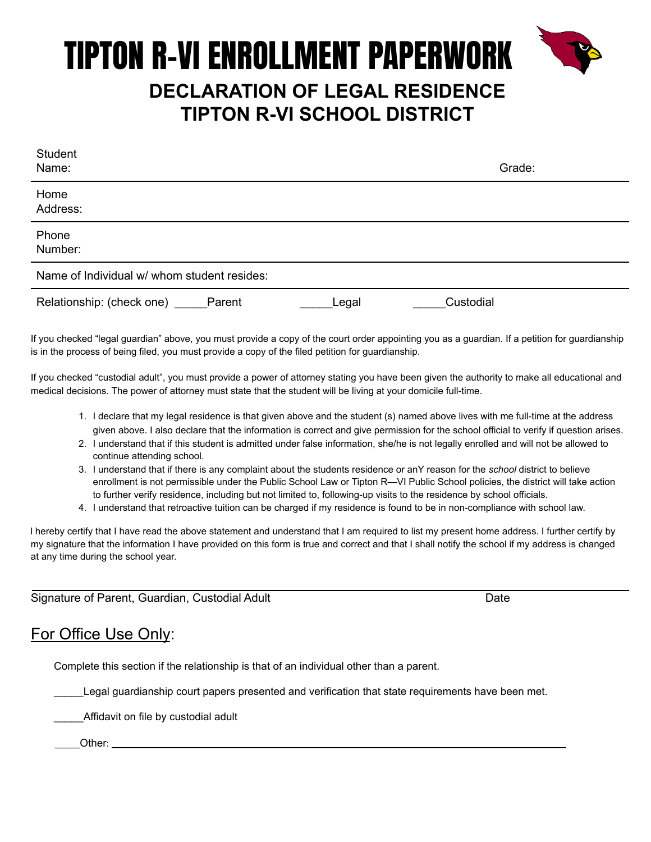### TIPTON R-VI ENROLLMENT PAPERWORK **DECLARATION OF LEGAL RESIDENCE TIPTON R-VI SCHOOL DISTRICT**

| Student<br>Name:                            |       | Grade:    |  |
|---------------------------------------------|-------|-----------|--|
| Home<br>Address:                            |       |           |  |
| Phone<br>Number:                            |       |           |  |
| Name of Individual w/ whom student resides: |       |           |  |
| Relationship: (check one) _____Parent       | Legal | Custodial |  |

If you checked "legal guardian" above, you must provide a copy of the court order appointing you as a guardian. If a petition for guardianship is in the process of being filed, you must provide a copy of the filed petition for guardianship.

If you checked "custodial adult", you must provide a power of attorney stating you have been given the authority to make all educational and medical decisions. The power of attorney must state that the student will be living at your domicile full-time.

- 1. I declare that my legal residence is that given above and the student (s) named above lives with me full-time at the address given above. I also declare that the information is correct and give permission for the school official to verify if question arises.
- 2. I understand that if this student is admitted under false information, she/he is not legally enrolled and will not be allowed to continue attending school.
- 3. I understand that if there is any complaint about the students residence or anY reason for the *school* district to believe enrollment is not permissible under the Public School Law or Tipton R—VI Public School policies, the district will take action to further verify residence, including but not limited to, following-up visits to the residence by school officials.
- 4. I understand that retroactive tuition can be charged if my residence is found to be in non-compliance with school law.

I hereby certify that I have read the above statement and understand that I am required to list my present home address. I further certify by my signature that the information I have provided on this form is true and correct and that I shall notify the school if my address is changed at any time during the school year.

Signature of Parent, Guardian, Custodial Adult **Date** Date Date

#### For Office Use Only:

Complete this section if the relationship is that of an individual other than a parent.

Legal guardianship court papers presented and verification that state requirements have been met.

\_\_\_\_\_Affidavit on file by custodial adult

Other: \_\_\_\_\_\_\_\_\_\_\_\_\_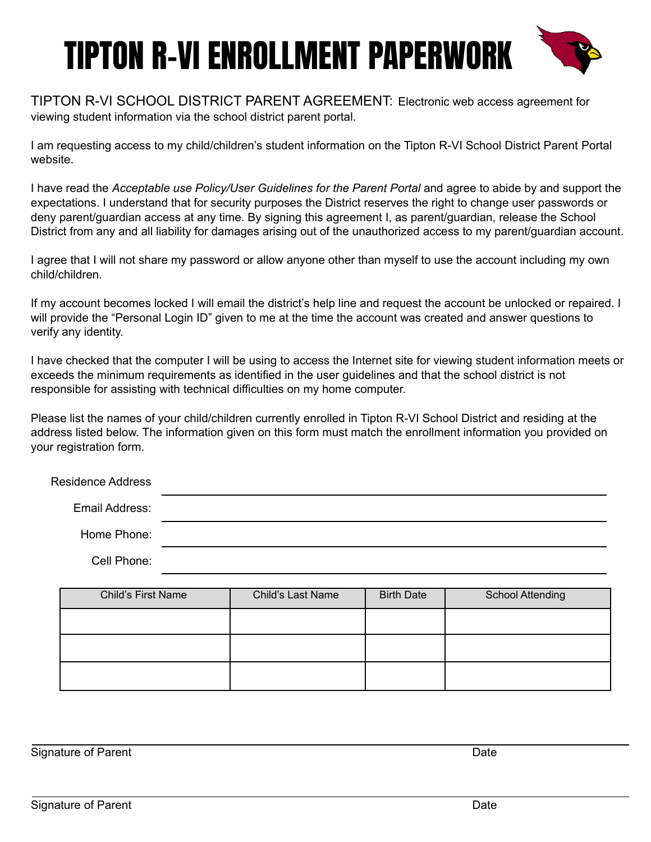

TIPTON R-VI SCHOOL DISTRICT PARENT AGREEMENT: Electronic web access agreement for viewing student information via the school district parent portal.

I am requesting access to my child/children's student information on the Tipton R-VI School District Parent Portal website.

I have read the *Acceptable use Policy/User Guidelines for the Parent Portal* and agree to abide by and support the expectations. I understand that for security purposes the District reserves the right to change user passwords or deny parent/guardian access at any time. By signing this agreement I, as parent/guardian, release the School District from any and all liability for damages arising out of the unauthorized access to my parent/guardian account.

I agree that I will not share my password or allow anyone other than myself to use the account including my own child/children.

If my account becomes locked I will email the district's help line and request the account be unlocked or repaired. I will provide the "Personal Login ID" given to me at the time the account was created and answer questions to verify any identity.

I have checked that the computer I will be using to access the Internet site for viewing student information meets or exceeds the minimum requirements as identified in the user guidelines and that the school district is not responsible for assisting with technical difficulties on my home computer.

Please list the names of your child/children currently enrolled in Tipton R-VI School District and residing at the address listed below. The information given on this form must match the enrollment information you provided on your registration form.

| <b>Residence Address</b> |  |
|--------------------------|--|
| Email Address:           |  |
| Home Phone:              |  |
| Cell Phone:              |  |

| <b>Child's First Name</b> | <b>Child's Last Name</b> | <b>Birth Date</b> | <b>School Attending</b> |
|---------------------------|--------------------------|-------------------|-------------------------|
|                           |                          |                   |                         |
|                           |                          |                   |                         |
|                           |                          |                   |                         |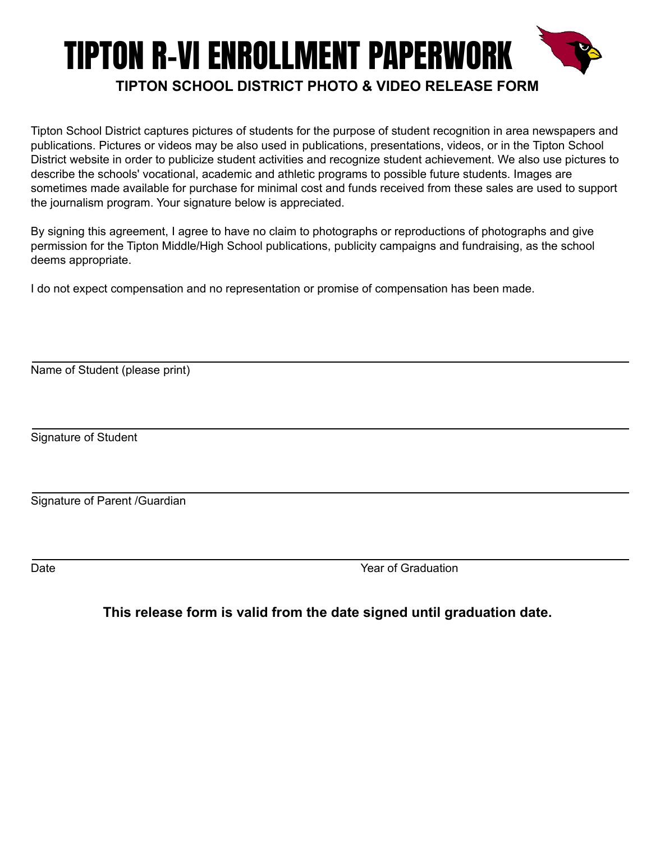### TIPTON R-VI ENROLLMENT PAPERWORK **TIPTON SCHOOL DISTRICT PHOTO & VIDEO RELEASE FORM**

Tipton School District captures pictures of students for the purpose of student recognition in area newspapers and publications. Pictures or videos may be also used in publications, presentations, videos, or in the Tipton School District website in order to publicize student activities and recognize student achievement. We also use pictures to describe the schools' vocational, academic and athletic programs to possible future students. Images are sometimes made available for purchase for minimal cost and funds received from these sales are used to support the journalism program. Your signature below is appreciated.

By signing this agreement, I agree to have no claim to photographs or reproductions of photographs and give permission for the Tipton Middle/High School publications, publicity campaigns and fundraising, as the school deems appropriate.

I do not expect compensation and no representation or promise of compensation has been made.

Name of Student (please print)

Signature of Student

Signature of Parent /Guardian

Date Year of Graduation

#### **This release form is valid from the date signed until graduation date.**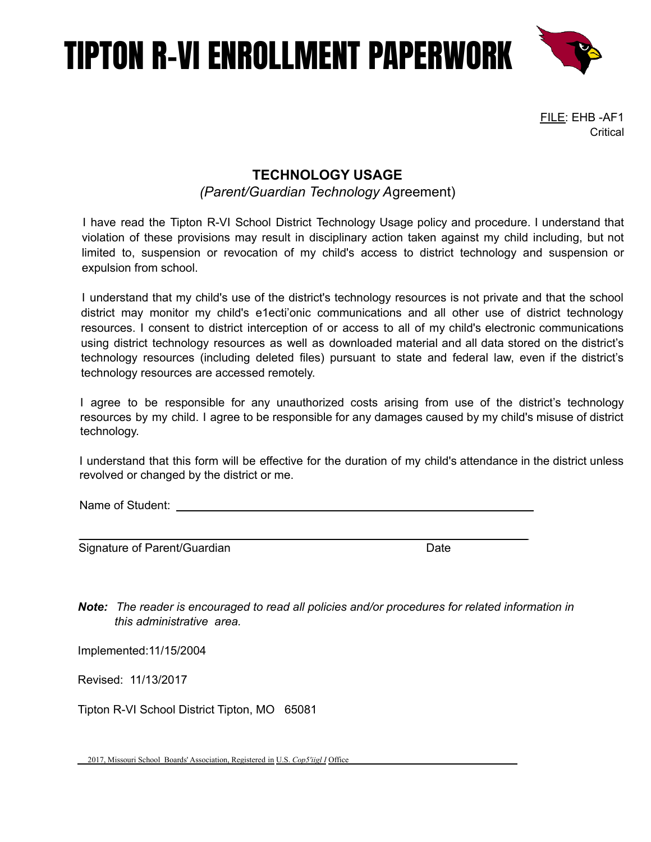

FILE: EHB -AF1 **Critical** 

#### **TECHNOLOGY USAGE**

*(Parent/Guardian Technology A*greement)

I have read the Tipton R-VI School District Technology Usage policy and procedure. I understand that violation of these provisions may result in disciplinary action taken against my child including, but not limited to, suspension or revocation of my child's access to district technology and suspension or expulsion from school.

I understand that my child's use of the district's technology resources is not private and that the school district may monitor my child's e1ecti'onic communications and all other use of district technology resources. I consent to district interception of or access to all of my child's electronic communications using district technology resources as well as downloaded material and all data stored on the district's technology resources (including deleted files) pursuant to state and federal law, even if the district's technology resources are accessed remotely.

I agree to be responsible for any unauthorized costs arising from use of the district's technology resources by my child. I agree to be responsible for any damages caused by my child's misuse of district technology.

I understand that this form will be effective for the duration of my child's attendance in the district unless revolved or changed by the district or me.

Name of Student:  $\blacksquare$ 

Signature of Parent/Guardian Date Date

*Note: The reader is encouraged to read all policies and/or procedures for related information in this administrative area.*

Implemented:11/15/2004

Revised: 11/13/2017

Tipton R-VI School District Tipton, MO 65081

2017, Missouri School Boards' Association, Registered in U.S. *Cop5'iigl I* Office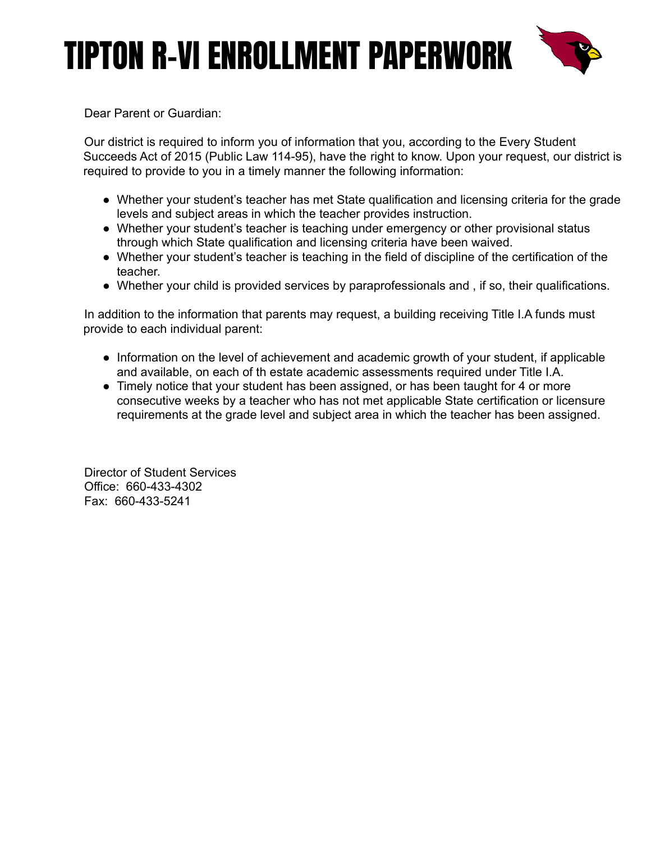

Dear Parent or Guardian:

Our district is required to inform you of information that you, according to the Every Student Succeeds Act of 2015 (Public Law 114-95), have the right to know. Upon your request, our district is required to provide to you in a timely manner the following information:

- Whether your student's teacher has met State qualification and licensing criteria for the grade levels and subject areas in which the teacher provides instruction.
- Whether your student's teacher is teaching under emergency or other provisional status through which State qualification and licensing criteria have been waived.
- Whether your student's teacher is teaching in the field of discipline of the certification of the teacher.
- Whether your child is provided services by paraprofessionals and , if so, their qualifications.

In addition to the information that parents may request, a building receiving Title I.A funds must provide to each individual parent:

- Information on the level of achievement and academic growth of your student, if applicable and available, on each of th estate academic assessments required under Title I.A.
- Timely notice that your student has been assigned, or has been taught for 4 or more consecutive weeks by a teacher who has not met applicable State certification or licensure requirements at the grade level and subject area in which the teacher has been assigned.

Director of Student Services Office: 660-433-4302 Fax: 660-433-5241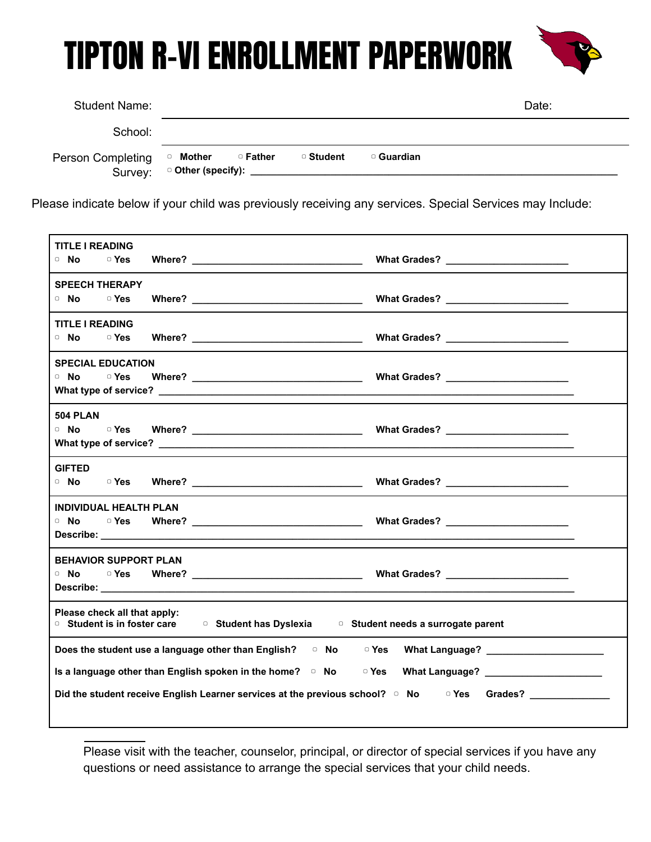| <b>Student Name:</b>         |          |          |           |            | Date: |
|------------------------------|----------|----------|-----------|------------|-------|
| School:                      |          |          |           |            |       |
| Person Completing<br>Survey: | □ Mother | □ Father | □ Student | □ Guardian |       |

Please indicate below if your child was previously receiving any services. Special Services may Include:

| <b>TITLE I READING</b>                                                                                    |  |
|-----------------------------------------------------------------------------------------------------------|--|
| □ No □ Yes                                                                                                |  |
|                                                                                                           |  |
| <b>SPEECH THERAPY</b>                                                                                     |  |
| □ No □ Yes                                                                                                |  |
| <b>TITLE I READING</b>                                                                                    |  |
| □ No   □ Yes                                                                                              |  |
| <b>SPECIAL EDUCATION</b>                                                                                  |  |
|                                                                                                           |  |
|                                                                                                           |  |
|                                                                                                           |  |
| <b>504 PLAN</b>                                                                                           |  |
|                                                                                                           |  |
|                                                                                                           |  |
| <b>GIFTED</b>                                                                                             |  |
|                                                                                                           |  |
|                                                                                                           |  |
| <b>INDIVIDUAL HEALTH PLAN</b>                                                                             |  |
| □ No   □ Yes                                                                                              |  |
|                                                                                                           |  |
| <b>BEHAVIOR SUPPORT PLAN</b>                                                                              |  |
|                                                                                                           |  |
|                                                                                                           |  |
| Please check all that apply:                                                                              |  |
| ○ Student is in foster care △ O Student has Dyslexia △ Student needs a surrogate parent                   |  |
|                                                                                                           |  |
| Does the student use a language other than English? $\Box$ No $\Box$ Yes What Language?                   |  |
| Is a language other than English spoken in the home? □ No □ Yes What Language? ___________________        |  |
| Did the student receive English Learner services at the previous school? □ No □ Yes Grades? _____________ |  |
|                                                                                                           |  |

Please visit with the teacher, counselor, principal, or director of special services if you have any questions or need assistance to arrange the special services that your child needs.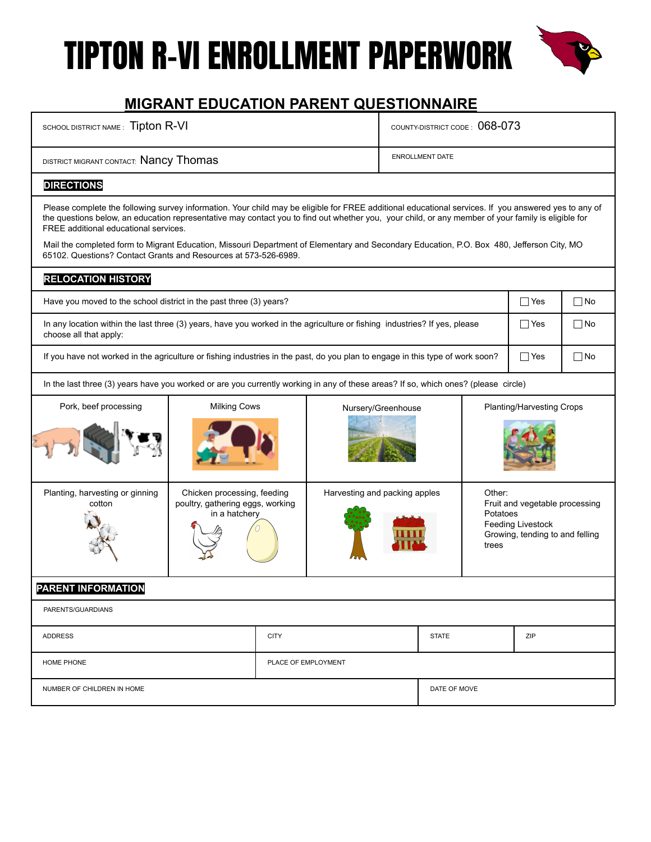

#### **MIGRANT EDUCATION PARENT QUESTIONNAIRE**

| SCHOOL DISTRICT NAME: Tipton R-VI                                                                                                                                                                                                                                                                                                                                                                                                                                                                                                                                   |             |                     | COUNTY-DISTRICT CODE: 068-073 |              |                                                                                        |            |           |
|---------------------------------------------------------------------------------------------------------------------------------------------------------------------------------------------------------------------------------------------------------------------------------------------------------------------------------------------------------------------------------------------------------------------------------------------------------------------------------------------------------------------------------------------------------------------|-------------|---------------------|-------------------------------|--------------|----------------------------------------------------------------------------------------|------------|-----------|
| DISTRICT MIGRANT CONTACT: Nancy Thomas                                                                                                                                                                                                                                                                                                                                                                                                                                                                                                                              |             |                     | <b>ENROLLMENT DATE</b>        |              |                                                                                        |            |           |
| <b>DIRECTIONS</b>                                                                                                                                                                                                                                                                                                                                                                                                                                                                                                                                                   |             |                     |                               |              |                                                                                        |            |           |
| Please complete the following survey information. Your child may be eligible for FREE additional educational services. If you answered yes to any of<br>the questions below, an education representative may contact you to find out whether you, your child, or any member of your family is eligible for<br>FREE additional educational services.<br>Mail the completed form to Migrant Education, Missouri Department of Elementary and Secondary Education, P.O. Box 480, Jefferson City, MO<br>65102. Questions? Contact Grants and Resources at 573-526-6989. |             |                     |                               |              |                                                                                        |            |           |
| <b>RELOCATION HISTORY</b>                                                                                                                                                                                                                                                                                                                                                                                                                                                                                                                                           |             |                     |                               |              |                                                                                        |            |           |
| Have you moved to the school district in the past three (3) years?                                                                                                                                                                                                                                                                                                                                                                                                                                                                                                  |             |                     |                               |              |                                                                                        | $\Box$ Yes | $\Box$ No |
| In any location within the last three (3) years, have you worked in the agriculture or fishing industries? If yes, please<br>choose all that apply:                                                                                                                                                                                                                                                                                                                                                                                                                 |             |                     |                               |              |                                                                                        | $\Box$ Yes | □No       |
| If you have not worked in the agriculture or fishing industries in the past, do you plan to engage in this type of work soon?                                                                                                                                                                                                                                                                                                                                                                                                                                       |             |                     |                               |              |                                                                                        | $\Box$ Yes | $\Box$ No |
| In the last three (3) years have you worked or are you currently working in any of these areas? If so, which ones? (please circle)                                                                                                                                                                                                                                                                                                                                                                                                                                  |             |                     |                               |              |                                                                                        |            |           |
| <b>Milking Cows</b><br>Pork, beef processing<br>Planting/Harvesting Crops<br>Nursery/Greenhouse                                                                                                                                                                                                                                                                                                                                                                                                                                                                     |             |                     |                               |              |                                                                                        |            |           |
| Planting, harvesting or ginning<br>Chicken processing, feeding<br>Harvesting and packing apples<br>Other:<br>poultry, gathering eggs, working<br>cotton<br>in a hatchery<br>Potatoes<br>trees                                                                                                                                                                                                                                                                                                                                                                       |             |                     |                               |              | Fruit and vegetable processing<br>Feeding Livestock<br>Growing, tending to and felling |            |           |
| <b>PARENT INFORMATION</b>                                                                                                                                                                                                                                                                                                                                                                                                                                                                                                                                           |             |                     |                               |              |                                                                                        |            |           |
| PARENTS/GUARDIANS                                                                                                                                                                                                                                                                                                                                                                                                                                                                                                                                                   |             |                     |                               |              |                                                                                        |            |           |
| <b>ADDRESS</b>                                                                                                                                                                                                                                                                                                                                                                                                                                                                                                                                                      | <b>CITY</b> |                     |                               | <b>STATE</b> |                                                                                        | ZIP        |           |
| HOME PHONE                                                                                                                                                                                                                                                                                                                                                                                                                                                                                                                                                          |             | PLACE OF EMPLOYMENT |                               |              |                                                                                        |            |           |
| NUMBER OF CHILDREN IN HOME                                                                                                                                                                                                                                                                                                                                                                                                                                                                                                                                          |             |                     |                               | DATE OF MOVE |                                                                                        |            |           |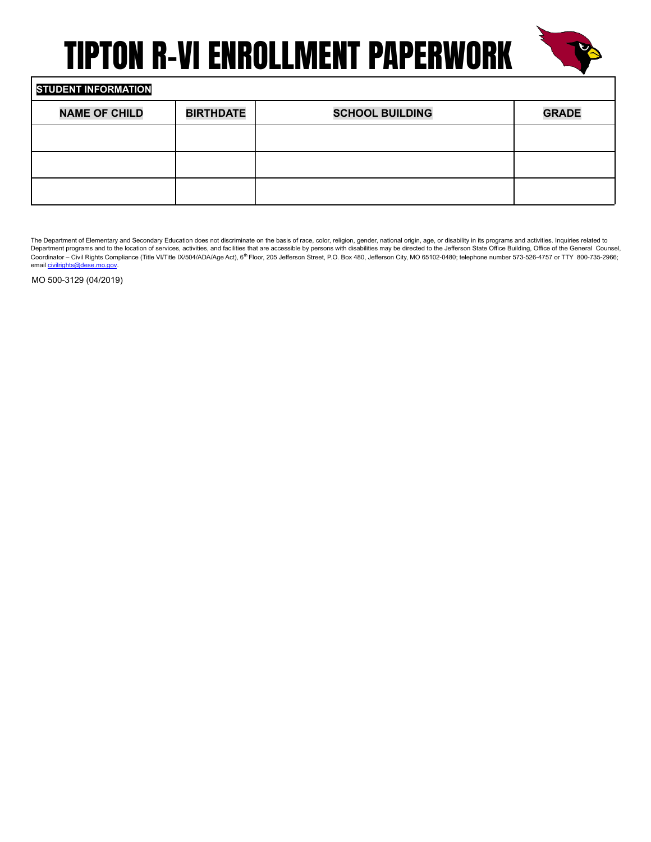

#### **STUDENT INFORMATION**

| <b>NAME OF CHILD</b> | <b>BIRTHDATE</b> | <b>SCHOOL BUILDING</b> | <b>GRADE</b> |
|----------------------|------------------|------------------------|--------------|
|                      |                  |                        |              |
|                      |                  |                        |              |
|                      |                  |                        |              |

The Department of Elementary and Secondary Education does not discriminate on the basis of race, color, religion, gender, national origin, age, or disability in its programs and activities. Inquiries related to Department programs and to the location of services, activities, and facilities that are accessible by persons with disabilities may be directed to the Jefferson State Office Building, Office of the General Counsel,<br>Coord email civilrights@dese.mo.gov.

MO 500-3129 (04/2019)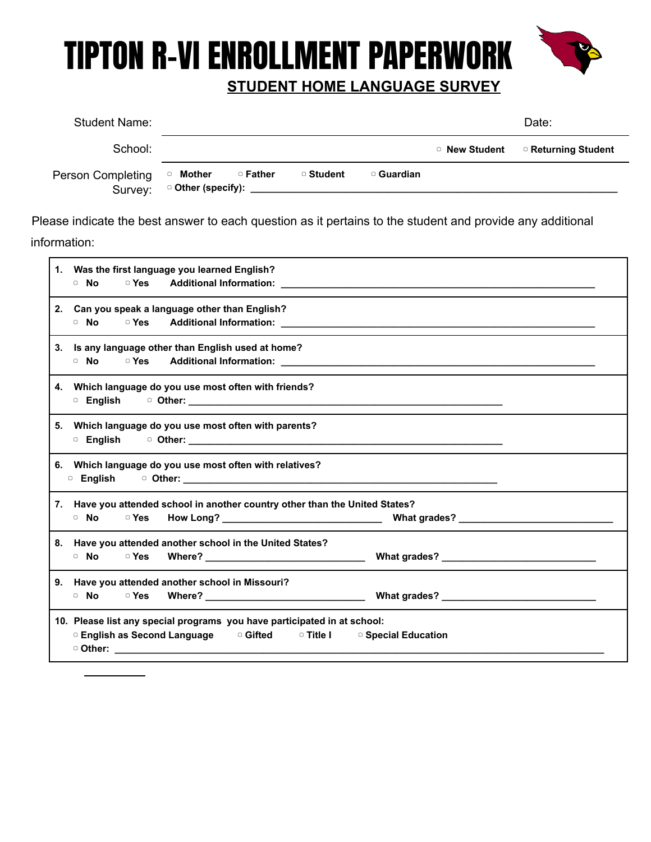

#### **STUDENT HOME LANGUAGE SURVEY**

| <b>Student Name:</b>         |                           |                                                    |           |            |               | Date:               |
|------------------------------|---------------------------|----------------------------------------------------|-----------|------------|---------------|---------------------|
| School:                      |                           |                                                    |           |            | □ New Student | □ Returning Student |
| Person Completing<br>Survey: | Mother<br>$\hfill\square$ | □ Father<br>□ Other (specify): ___________________ | □ Student | □ Guardian |               |                     |

Please indicate the best answer to each question as it pertains to the student and provide any additional information:

| 1. Was the first language you learned English?                                                                                                                                                                                       |
|--------------------------------------------------------------------------------------------------------------------------------------------------------------------------------------------------------------------------------------|
|                                                                                                                                                                                                                                      |
| 2. Can you speak a language other than English?                                                                                                                                                                                      |
|                                                                                                                                                                                                                                      |
| 3. Is any language other than English used at home?                                                                                                                                                                                  |
|                                                                                                                                                                                                                                      |
| 4. Which language do you use most often with friends?                                                                                                                                                                                |
|                                                                                                                                                                                                                                      |
| 5. Which language do you use most often with parents?                                                                                                                                                                                |
|                                                                                                                                                                                                                                      |
| 6. Which language do you use most often with relatives?                                                                                                                                                                              |
|                                                                                                                                                                                                                                      |
| 7. Have you attended school in another country other than the United States?                                                                                                                                                         |
|                                                                                                                                                                                                                                      |
| 8. Have you attended another school in the United States?                                                                                                                                                                            |
|                                                                                                                                                                                                                                      |
| 9. Have you attended another school in Missouri?                                                                                                                                                                                     |
|                                                                                                                                                                                                                                      |
| 10. Please list any special programs you have participated in at school:                                                                                                                                                             |
| <b>Department Construct Construct Construct Constructed Constructed Constructed Constructs Construct Construct Construct Construct Construct Construct Construct Construct Construct Construct Construct Construct Construct Con</b> |
|                                                                                                                                                                                                                                      |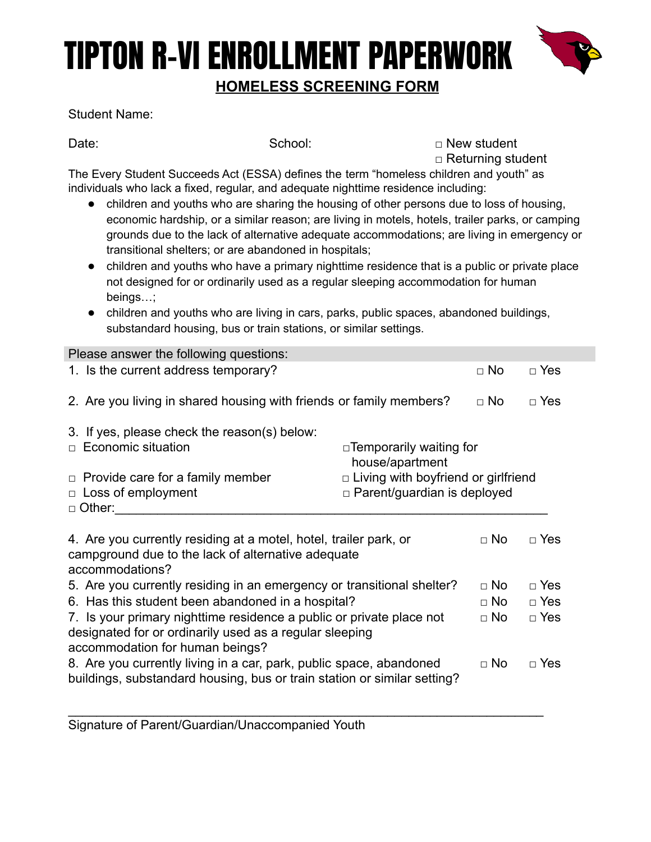### TIPTON R-VI ENROLLMENT PAPERWORK **HOMELESS SCREENING FORM**



#### Student Name:

Date: School: □ New student □ Returning student

The Every Student Succeeds Act (ESSA) defines the term "homeless children and youth" as individuals who lack a fixed, regular, and adequate nighttime residence including:

- children and youths who are sharing the housing of other persons due to loss of housing, economic hardship, or a similar reason; are living in motels, hotels, trailer parks, or camping grounds due to the lack of alternative adequate accommodations; are living in emergency or transitional shelters; or are abandoned in hospitals;
- children and youths who have a primary nighttime residence that is a public or private place not designed for or ordinarily used as a regular sleeping accommodation for human beings…;
- children and youths who are living in cars, parks, public spaces, abandoned buildings, substandard housing, bus or train stations, or similar settings.

| Please answer the following questions:                                                                                                                                                        |                                                                                  |           |            |
|-----------------------------------------------------------------------------------------------------------------------------------------------------------------------------------------------|----------------------------------------------------------------------------------|-----------|------------|
| 1. Is the current address temporary?                                                                                                                                                          |                                                                                  | $\Box$ No | $\Box$ Yes |
| 2. Are you living in shared housing with friends or family members?                                                                                                                           |                                                                                  | $\Box$ No | $\Box$ Yes |
| 3. If yes, please check the reason(s) below:<br>Economic situation<br>П.                                                                                                                      | $\Box$ Temporarily waiting for<br>house/apartment                                |           |            |
| $\Box$ Provide care for a family member<br>$\Box$ Loss of employment<br>$\Box$ Other:                                                                                                         | $\Box$ Living with boyfriend or girlfriend<br>$\Box$ Parent/guardian is deployed |           |            |
| 4. Are you currently residing at a motel, hotel, trailer park, or<br>campground due to the lack of alternative adequate<br>accommodations?                                                    |                                                                                  | $\Box$ No | $\Box$ Yes |
| 5. Are you currently residing in an emergency or transitional shelter?                                                                                                                        |                                                                                  | $\Box$ No | $\Box$ Yes |
| 6. Has this student been abandoned in a hospital?                                                                                                                                             |                                                                                  | $\Box$ No | $\Box$ Yes |
| 7. Is your primary nighttime residence a public or private place not<br>$\Box$ No<br>$\Box$ Yes<br>designated for or ordinarily used as a regular sleeping<br>accommodation for human beings? |                                                                                  |           |            |
| 8. Are you currently living in a car, park, public space, abandoned<br>buildings, substandard housing, bus or train station or similar setting?                                               |                                                                                  | $\Box$ No | $\Box$ Yes |

\_\_\_\_\_\_\_\_\_\_\_\_\_\_\_\_\_\_\_\_\_\_\_\_\_\_\_\_\_\_\_\_\_\_\_\_\_\_\_\_\_\_\_\_\_\_\_\_\_\_\_\_\_\_\_\_\_\_\_\_\_\_\_\_\_\_\_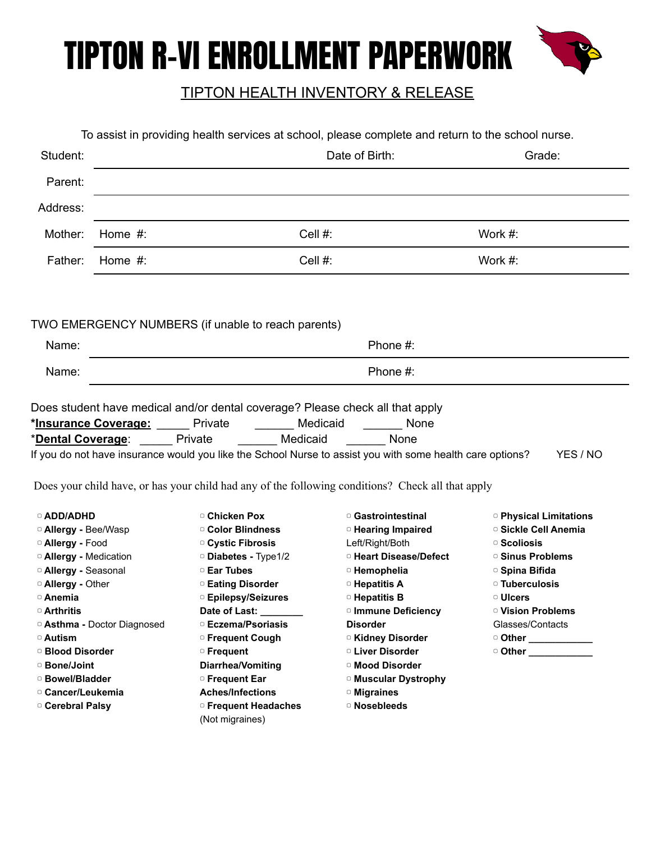

#### TIPTON HEALTH INVENTORY & RELEASE

|                                                                                                                                                                                                                                                                                  | To assist in providing health services at school, please complete and return to the school nurse. |                                                                               |                                                                                                           |                                   |
|----------------------------------------------------------------------------------------------------------------------------------------------------------------------------------------------------------------------------------------------------------------------------------|---------------------------------------------------------------------------------------------------|-------------------------------------------------------------------------------|-----------------------------------------------------------------------------------------------------------|-----------------------------------|
| Student:                                                                                                                                                                                                                                                                         |                                                                                                   |                                                                               | Date of Birth:                                                                                            | Grade:                            |
| Parent:                                                                                                                                                                                                                                                                          |                                                                                                   |                                                                               |                                                                                                           |                                   |
| Address:                                                                                                                                                                                                                                                                         |                                                                                                   |                                                                               |                                                                                                           |                                   |
| Mother:                                                                                                                                                                                                                                                                          | Home $#$ :                                                                                        | Cell #:                                                                       |                                                                                                           | Work #:                           |
| Father:                                                                                                                                                                                                                                                                          | Home $#$ :                                                                                        | Cell #:                                                                       |                                                                                                           | Work #:                           |
|                                                                                                                                                                                                                                                                                  |                                                                                                   |                                                                               |                                                                                                           |                                   |
|                                                                                                                                                                                                                                                                                  |                                                                                                   | TWO EMERGENCY NUMBERS (if unable to reach parents)                            |                                                                                                           |                                   |
| Name:                                                                                                                                                                                                                                                                            |                                                                                                   |                                                                               | Phone #:                                                                                                  |                                   |
| Name:                                                                                                                                                                                                                                                                            |                                                                                                   |                                                                               | Phone #:                                                                                                  |                                   |
|                                                                                                                                                                                                                                                                                  |                                                                                                   |                                                                               |                                                                                                           |                                   |
|                                                                                                                                                                                                                                                                                  |                                                                                                   |                                                                               |                                                                                                           |                                   |
|                                                                                                                                                                                                                                                                                  |                                                                                                   | Does student have medical and/or dental coverage? Please check all that apply |                                                                                                           |                                   |
|                                                                                                                                                                                                                                                                                  | *Insurance Coverage: Private                                                                      | Medicaid                                                                      | None                                                                                                      |                                   |
| *Dental Coverage:                                                                                                                                                                                                                                                                | <b>Private</b>                                                                                    | <b>Medicaid</b>                                                               | <b>Example 18</b> None                                                                                    |                                   |
|                                                                                                                                                                                                                                                                                  |                                                                                                   |                                                                               | If you do not have insurance would you like the School Nurse to assist you with some health care options? | YES / NO                          |
|                                                                                                                                                                                                                                                                                  |                                                                                                   |                                                                               | Does your child have, or has your child had any of the following conditions? Check all that apply         |                                   |
| □ ADD/ADHD                                                                                                                                                                                                                                                                       |                                                                                                   | □ Chicken Pox                                                                 | <sup>o</sup> Gastrointestinal                                                                             | <sup>o</sup> Physical Limitations |
| <sup>o</sup> Allergy - Bee/Wasp                                                                                                                                                                                                                                                  |                                                                                                   | <sup>o</sup> Color Blindness                                                  | <sup>o</sup> Hearing Impaired                                                                             | □ Sickle Cell Anemia              |
|                                                                                                                                                                                                                                                                                  |                                                                                                   | □ Cystic Fibrosis                                                             | Left/Right/Both                                                                                           | $\circ$ Scoliosis                 |
|                                                                                                                                                                                                                                                                                  |                                                                                                   | <sup>o</sup> Diabetes - Type1/2                                               | □ Heart Disease/Defect                                                                                    | <sup>o</sup> Sinus Problems       |
|                                                                                                                                                                                                                                                                                  |                                                                                                   | □ Ear Tubes                                                                   | <sup>o</sup> Hemophelia                                                                                   | □ Spina Bifida                    |
|                                                                                                                                                                                                                                                                                  |                                                                                                   | <b>Eating Disorder</b>                                                        | <sup>o</sup> Hepatitis A                                                                                  | <b>D</b> Tuberculosis             |
|                                                                                                                                                                                                                                                                                  |                                                                                                   | □ Epilepsy/Seizures                                                           | <sup>o</sup> Hepatitis B                                                                                  | □ Ulcers                          |
|                                                                                                                                                                                                                                                                                  |                                                                                                   | Date of Last: _______                                                         | <sup>o</sup> Immune Deficiency                                                                            | <sup>o</sup> Vision Problems      |
|                                                                                                                                                                                                                                                                                  |                                                                                                   | □ Eczema/Psoriasis                                                            | <b>Disorder</b>                                                                                           | Glasses/Contacts                  |
|                                                                                                                                                                                                                                                                                  |                                                                                                   | □ Frequent Cough                                                              | <b>DI Kidney Disorder</b>                                                                                 | Other _________                   |
|                                                                                                                                                                                                                                                                                  |                                                                                                   | □ Frequent                                                                    | <sup>o</sup> Liver Disorder                                                                               | Other ___________                 |
|                                                                                                                                                                                                                                                                                  |                                                                                                   | Diarrhea/Vomiting                                                             | <sup>o</sup> Mood Disorder                                                                                |                                   |
| <sup>o</sup> Allergy - Food<br><sup>o</sup> Allergy - Medication<br><sup>o</sup> Allergy - Seasonal<br><sup>o</sup> Allergy - Other<br>□ Anemia<br>□ Arthritis<br><sup>o</sup> Asthma - Doctor Diagnosed<br>□ Autism<br><b>Blood Disorder</b><br>□ Bone/Joint<br>□ Bowel/Bladder |                                                                                                   | <b>Frequent Ear</b>                                                           | <sup>o</sup> Muscular Dystrophy                                                                           |                                   |
| □ Cancer/Leukemia                                                                                                                                                                                                                                                                |                                                                                                   | <b>Aches/Infections</b>                                                       | <b>Indianal Migraines</b>                                                                                 |                                   |
| □ Cerebral Palsy                                                                                                                                                                                                                                                                 |                                                                                                   | □ Frequent Headaches<br>(Not migraines)                                       | <sup>o</sup> Nosebleeds                                                                                   |                                   |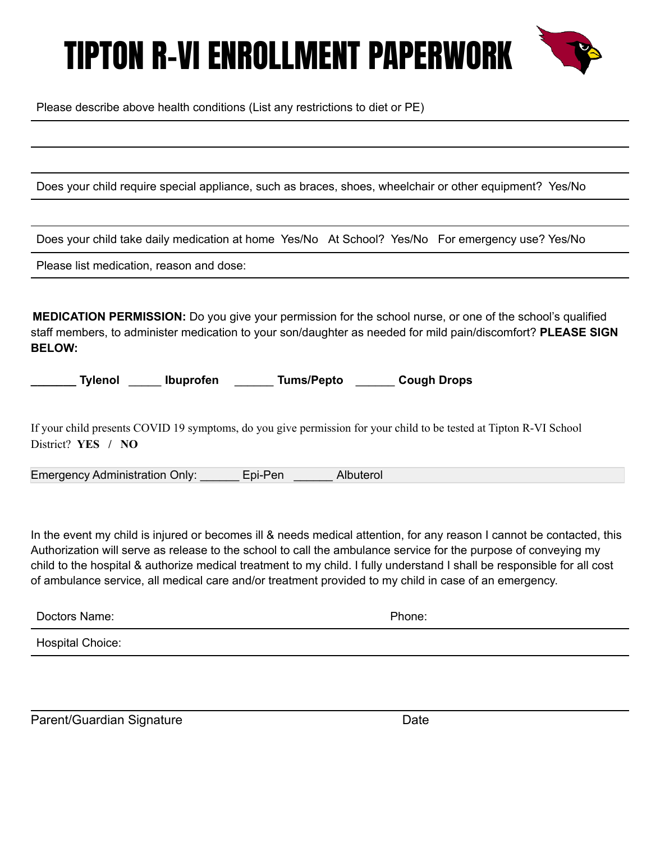

Please describe above health conditions (List any restrictions to diet or PE)

Does your child require special appliance, such as braces, shoes, wheelchair or other equipment? Yes/No

Does your child take daily medication at home Yes/No At School? Yes/No For emergency use? Yes/No

Please list medication, reason and dose:

**MEDICATION PERMISSION:** Do you give your permission for the school nurse, or one of the school's qualified staff members, to administer medication to your son/daughter as needed for mild pain/discomfort? **PLEASE SIGN BELOW:**

| <b>Tylenol</b> |  | <b>Ibuprofen</b> | <b>Tums/Pepto</b> | <b>Cough Drops</b> |
|----------------|--|------------------|-------------------|--------------------|
|----------------|--|------------------|-------------------|--------------------|

If your child presents COVID 19 symptoms, do you give permission for your child to be tested at Tipton R-VI School District? **YES / NO**

Emergency Administration Only: \_\_\_\_\_\_ Epi-Pen \_\_\_\_\_\_ Albuterol

In the event my child is injured or becomes ill & needs medical attention, for any reason I cannot be contacted, this Authorization will serve as release to the school to call the ambulance service for the purpose of conveying my child to the hospital & authorize medical treatment to my child. I fully understand I shall be responsible for all cost of ambulance service, all medical care and/or treatment provided to my child in case of an emergency.

| -<br>$\overline{\phantom{0}}$<br>ame<br>,,,,,<br>IΝ'n<br>. | <b>Contract Contract Contract Contract</b><br>--<br>. |  |
|------------------------------------------------------------|-------------------------------------------------------|--|
|                                                            |                                                       |  |

Hospital Choice:

Parent/Guardian Signature **Date** Date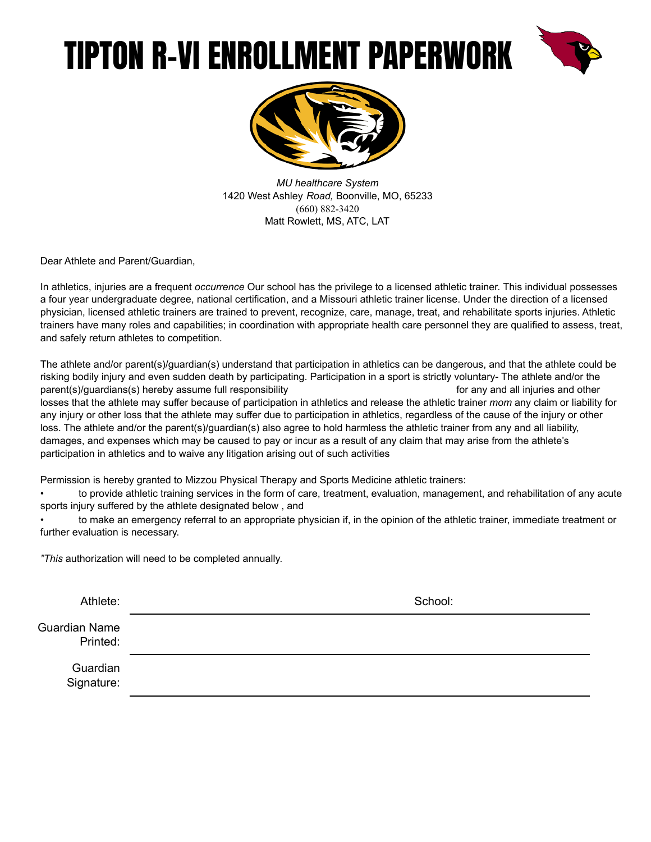



*MU healthcare System* 1420 West Ashley *Road,* Boonville, MO, 65233 (660) 882-3420 Matt Rowlett, MS, ATC, LAT

Dear Athlete and Parent/Guardian,

In athletics, injuries are a frequent *occurrence* Our school has the privilege to a licensed athletic trainer. This individual possesses a four year undergraduate degree, national certification, and a Missouri athletic trainer license. Under the direction of a licensed physician, licensed athletic trainers are trained to prevent, recognize, care, manage, treat, and rehabilitate sports injuries. Athletic trainers have many roles and capabilities; in coordination with appropriate health care personnel they are qualified to assess, treat, and safely return athletes to competition.

The athlete and/or parent(s)/guardian(s) understand that participation in athletics can be dangerous, and that the athlete could be risking bodily injury and even sudden death by participating. Participation in a sport is strictly voluntary- The athlete and/or the parent(s)/guardians(s) hereby assume full responsibility for any and all injuries and other losses that the athlete may suffer because of participation in athletics and release the athletic trainer *mom* any claim or liability for any injury or other loss that the athlete may suffer due to participation in athletics, regardless of the cause of the injury or other loss. The athlete and/or the parent(s)/guardian(s) also agree to hold harmless the athletic trainer from any and all liability, damages, and expenses which may be caused to pay or incur as a result of any claim that may arise from the athlete's participation in athletics and to waive any litigation arising out of such activities

Permission is hereby granted to Mizzou Physical Therapy and Sports Medicine athletic trainers:

• to provide athletic training services in the form of care, treatment, evaluation, management, and rehabilitation of any acute sports injury suffered by the athlete designated below , and

• to make an emergency referral to an appropriate physician if, in the opinion of the athletic trainer, immediate treatment or further evaluation is necessary.

*"This* authorization will need to be completed annually.

| Athlete:                  | School: |
|---------------------------|---------|
| Guardian Name<br>Printed: |         |
| Guardian<br>Signature:    |         |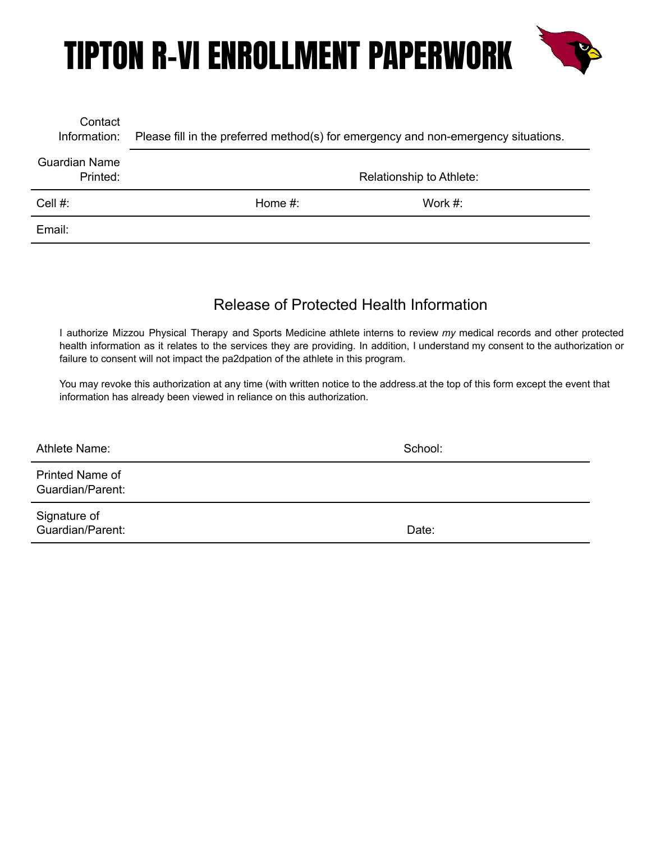

| Contact<br>Information:   | Please fill in the preferred method(s) for emergency and non-emergency situations. |                          |
|---------------------------|------------------------------------------------------------------------------------|--------------------------|
| Guardian Name<br>Printed: |                                                                                    | Relationship to Athlete: |
| Cell #:                   | Home $#$ :                                                                         | Work $#$ :               |
| Email:                    |                                                                                    |                          |

#### Release of Protected Health Information

I authorize Mizzou Physical Therapy and Sports Medicine athlete interns to review *my* medical records and other protected health information as it relates to the services they are providing. In addition, I understand my consent to the authorization or failure to consent will not impact the pa2dpation of the athlete in this program.

You may revoke this authorization at any time (with written notice to the address.at the top of this form except the event that information has already been viewed in reliance on this authorization.

Athlete Name: School:

Printed Name of Guardian/Parent:

Signature of Guardian/Parent: Date: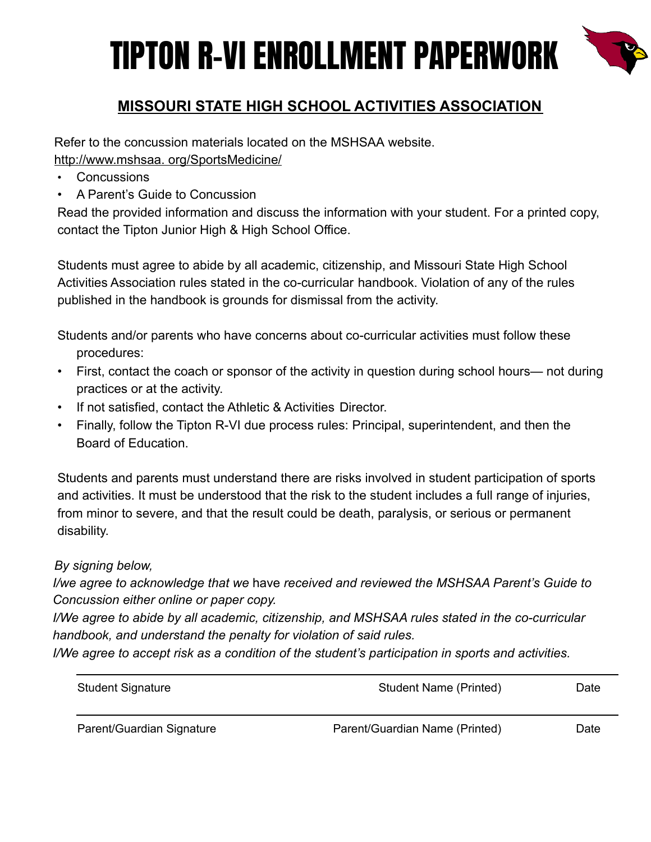

#### **MISSOURI STATE HIGH SCHOOL ACTIVITIES ASSOCIATION**

Refer to the concussion materials located on the MSHSAA website. [http://www.mshsaa. org/SportsMedicine/](http://www.mshsaa.orr/SportsMedicine/)

- **Concussions**
- A Parent's Guide to Concussion

Read the provided information and discuss the information with your student. For a printed copy, contact the Tipton Junior High & High School Office.

Students must agree to abide by all academic, citizenship, and Missouri State High School Activities Association rules stated in the co-curricular handbook. Violation of any of the rules published in the handbook is grounds for dismissal from the activity.

Students and/or parents who have concerns about co-curricular activities must follow these procedures:

- First, contact the coach or sponsor of the activity in question during school hours— not during practices or at the activity.
- If not satisfied, contact the Athletic & Activities Director.
- Finally, follow the Tipton R-VI due process rules: Principal, superintendent, and then the Board of Education.

Students and parents must understand there are risks involved in student participation of sports and activities. It must be understood that the risk to the student includes a full range of injuries, from minor to severe, and that the result could be death, paralysis, or serious or permanent disability.

#### *By signing below,*

*I/we agree to acknowledge that we* have *received and reviewed the MSHSAA Parent's Guide to Concussion either online or paper copy.*

*I/We agree to abide by all academic, citizenship, and MSHSAA rules stated in the co-curricular handbook, and understand the penalty for violation of said rules.*

*I/We agree to accept risk as a condition of the student's participation in sports and activities.*

| <b>Student Signature</b>  | Student Name (Printed)         | Date |
|---------------------------|--------------------------------|------|
| Parent/Guardian Signature | Parent/Guardian Name (Printed) | Date |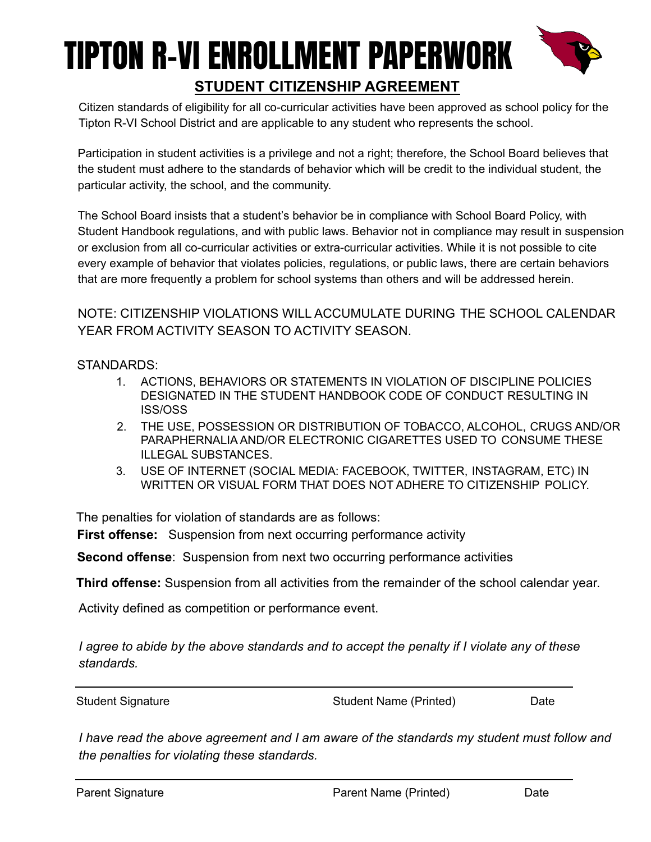### TIPTON R-VI ENROLLMENT PAPERWORK **STUDENT CITIZENSHIP AGREEMENT**



Citizen standards of eligibility for all co-curricular activities have been approved as school policy for the Tipton R-VI School District and are applicable to any student who represents the school.

Participation in student activities is a privilege and not a right; therefore, the School Board believes that the student must adhere to the standards of behavior which will be credit to the individual student, the particular activity, the school, and the community.

The School Board insists that a student's behavior be in compliance with School Board Policy, with Student Handbook regulations, and with public laws. Behavior not in compliance may result in suspension or exclusion from all co-curricular activities or extra-curricular activities. While it is not possible to cite every example of behavior that violates policies, regulations, or public laws, there are certain behaviors that are more frequently a problem for school systems than others and will be addressed herein.

NOTE: CITIZENSHIP VIOLATIONS WILL ACCUMULATE DURING THE SCHOOL CALENDAR YEAR FROM ACTIVITY SEASON TO ACTIVITY SEASON.

STANDARDS:

- 1. ACTIONS, BEHAVIORS OR STATEMENTS IN VIOLATION OF DISCIPLINE POLICIES DESIGNATED IN THE STUDENT HANDBOOK CODE OF CONDUCT RESULTING IN ISS/OSS
- 2. THE USE, POSSESSION OR DISTRIBUTION OF TOBACCO, ALCOHOL, CRUGS AND/OR PARAPHERNALIA AND/OR ELECTRONIC CIGARETTES USED TO CONSUME THESE ILLEGAL SUBSTANCES.
- 3. USE OF INTERNET (SOCIAL MEDIA: FACEBOOK, TWITTER, INSTAGRAM, ETC) IN WRITTEN OR VISUAL FORM THAT DOES NOT ADHERE TO CITIZENSHIP POLICY.

The penalties for violation of standards are as follows:

**First offense:** Suspension from next occurring performance activity

**Second offense**: Suspension from next two occurring performance activities

**Third offense:** Suspension from all activities from the remainder of the school calendar year.

Activity defined as competition or performance event.

*I agree to abide by the above standards and to accept the penalty if I violate any of these standards.*

Student Signature Student Name (Printed) Date

*I have read the above agreement and I am aware of the standards my student must follow and the penalties for violating these standards.*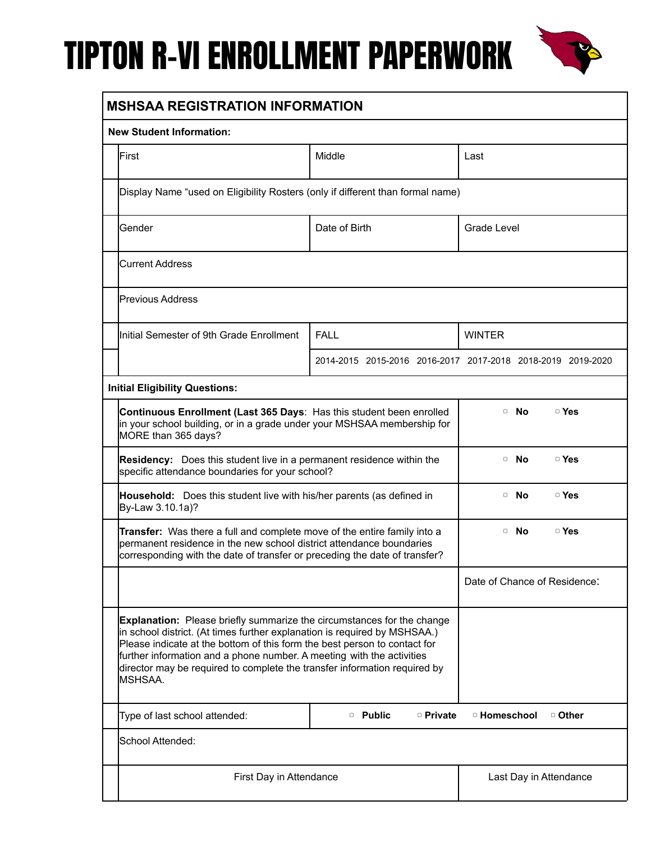

| <b>New Student Information:</b>                                                                                                                                                                                                                                                                                                                                                                                  |                             |                                                             |
|------------------------------------------------------------------------------------------------------------------------------------------------------------------------------------------------------------------------------------------------------------------------------------------------------------------------------------------------------------------------------------------------------------------|-----------------------------|-------------------------------------------------------------|
| First                                                                                                                                                                                                                                                                                                                                                                                                            | Middle                      | Last                                                        |
| Display Name "used on Eligibility Rosters (only if different than formal name)                                                                                                                                                                                                                                                                                                                                   |                             |                                                             |
| Gender                                                                                                                                                                                                                                                                                                                                                                                                           | Date of Birth               | Grade Level                                                 |
| <b>Current Address</b>                                                                                                                                                                                                                                                                                                                                                                                           |                             |                                                             |
| <b>Previous Address</b>                                                                                                                                                                                                                                                                                                                                                                                          |                             |                                                             |
| Initial Semester of 9th Grade Enrollment                                                                                                                                                                                                                                                                                                                                                                         | <b>FALL</b>                 | <b>WINTER</b>                                               |
|                                                                                                                                                                                                                                                                                                                                                                                                                  |                             | 2014-2015 2015-2016 2016-2017 2017-2018 2018-2019 2019-2020 |
| <b>Initial Eligibility Questions:</b>                                                                                                                                                                                                                                                                                                                                                                            |                             |                                                             |
| Continuous Enrollment (Last 365 Days: Has this student been enrolled<br>in your school building, or in a grade under your MSHSAA membership for<br>MORE than 365 days?                                                                                                                                                                                                                                           |                             | □ Yes<br>$\overline{\phantom{a}}$ No                        |
| <b>Residency:</b> Does this student live in a permanent residence within the<br>specific attendance boundaries for your school?                                                                                                                                                                                                                                                                                  |                             | □ Yes<br>$\overline{\phantom{a}}$ No                        |
| Household: Does this student live with his/her parents (as defined in<br>By-Law 3.10.1a)?                                                                                                                                                                                                                                                                                                                        |                             | □ Yes<br>$\overline{\phantom{a}}$ No                        |
| Transfer: Was there a full and complete move of the entire family into a<br>permanent residence in the new school district attendance boundaries<br>corresponding with the date of transfer or preceding the date of transfer?                                                                                                                                                                                   |                             | $\overline{\phantom{a}}$ No<br>$\circ$ Yes                  |
|                                                                                                                                                                                                                                                                                                                                                                                                                  |                             | Date of Chance of Residence:                                |
| <b>Explanation:</b> Please briefly summarize the circumstances for the change<br>in school district. (At times further explanation is required by MSHSAA.)<br>Please indicate at the bottom of this form the best person to contact for<br>further information and a phone number. A meeting with the activities<br>director may be required to complete the transfer information required by<br><b>IMSHSAA.</b> |                             |                                                             |
| Type of last school attended:                                                                                                                                                                                                                                                                                                                                                                                    | $\circ$ Public<br>□ Private | <sup>o</sup> Homeschool<br>□ Other                          |
|                                                                                                                                                                                                                                                                                                                                                                                                                  |                             |                                                             |
| School Attended:                                                                                                                                                                                                                                                                                                                                                                                                 |                             |                                                             |